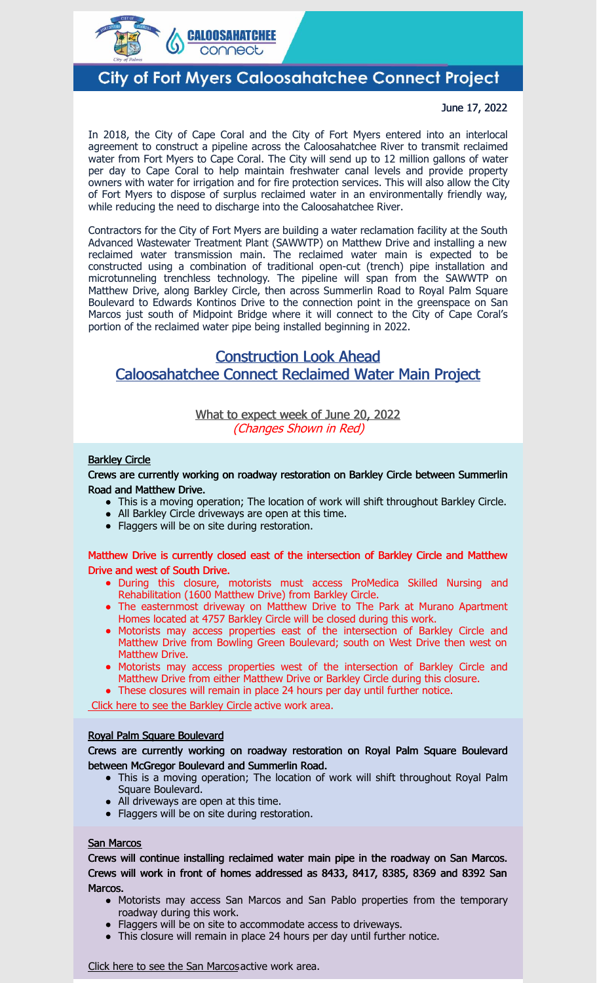

# **City of Fort Myers Caloosahatchee Connect Project**

#### June 17, 2022

In 2018, the City of Cape Coral and the City of Fort Myers entered into an interlocal agreement to construct a pipeline across the Caloosahatchee River to transmit reclaimed water from Fort Myers to Cape Coral. The City will send up to 12 million gallons of water per day to Cape Coral to help maintain freshwater canal levels and provide property owners with water for irrigation and for fire protection services. This will also allow the City of Fort Myers to dispose of surplus reclaimed water in an environmentally friendly way, while reducing the need to discharge into the Caloosahatchee River.

Contractors for the City of Fort Myers are building a water reclamation facility at the South Advanced Wastewater Treatment Plant (SAWWTP) on Matthew Drive and installing a new reclaimed water transmission main. The reclaimed water main is expected to be constructed using a combination of traditional open-cut (trench) pipe installation and microtunneling trenchless technology. The pipeline will span from the SAWWTP on Matthew Drive, along Barkley Circle, then across Summerlin Road to Royal Palm Square Boulevard to Edwards Kontinos Drive to the connection point in the greenspace on San Marcos just south of Midpoint Bridge where it will connect to the City of Cape Coral's portion of the reclaimed water pipe being installed beginning in 2022.

## Construction Look Ahead Caloosahatchee Connect Reclaimed Water Main Project

### What to expect week of June 20, 2022 (Changes Shown in Red)

#### **[Barkley](https://em-ui.constantcontact.com/em-ui/em/page/em-ui/email#) Circle**

Crews are currently working on roadway restoration on Barkley Circle between Summerlin Road and Matthew Drive.

- This is a moving operation; The location of work will shift throughout Barkley Circle.
- All Barkley Circle driveways are open at this time.
- Flaggers will be on site during restoration.

#### Matthew Drive is currently closed east of the intersection of Barkley Circle and Matthew Drive and west of South Drive.

- During this closure, motorists must access ProMedica Skilled Nursing and Rehabilitation (1600 Matthew Drive) from Barkley Circle.
- The easternmost driveway on Matthew Drive to The Park at Murano Apartment Homes located at 4757 Barkley Circle will be closed during this work.
- Motorists may access properties east of the intersection of Barkley Circle and Matthew Drive from Bowling Green Boulevard; south on West Drive then west on Matthew Drive.
- Motorists may access properties west of the intersection of Barkley Circle and Matthew Drive from either Matthew Drive or Barkley Circle during this closure.
- These closures will remain in place 24 hours per day until further notice.

Click here to see the [Barkley](https://files.constantcontact.com/25c2480e601/8c13a30f-89fe-462f-b069-1533b805db08.pdf) Circle active work area.

#### Royal Palm Square Boulevard

Crews are currently working on roadway restoration on Royal Palm Square Boulevard between McGregor Boulevard and Summerlin Road.

- This is a moving operation; The location of work will shift throughout Royal Palm Square Boulevard.
- All driveways are open at this time.
- Flaggers will be on site during restoration.

#### San Marcos

Crews will continue installing reclaimed water main pipe in the roadway on San Marcos. Crews will work in front of homes addressed as 8433, 8417, 8385, 8369 and 8392 San Marcos.

- Motorists may access San Marcos and San Pablo properties from the temporary roadway during this work.
- Flaggers will be on site to accommodate access to driveways.
- This closure will remain in place 24 hours per day until further notice.

Click here to see the San [Marcos](https://files.constantcontact.com/25c2480e601/a4cb5add-ad99-4b71-a66f-45178c8a43d0.pdf)active work area.